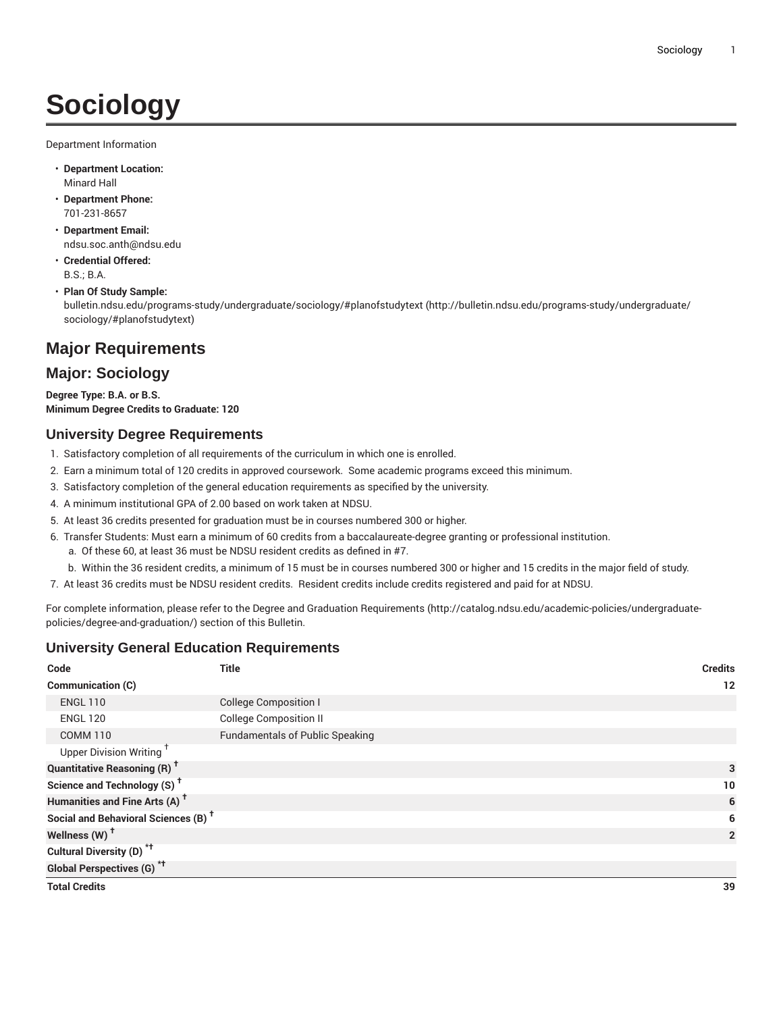# **Sociology**

Department Information

- **Department Location:** Minard Hall
- **Department Phone:** 701-231-8657
- **Department Email:** [ndsu.soc.anth@ndsu.edu](mailto:ndsu.soc.anth@ndsu.edu)
- **Credential Offered:** B.S.; B.A.
- **Plan Of Study Sample:** [bulletin.ndsu.edu/programs-study/undergraduate/sociology/#planofstudytext](http://bulletin.ndsu.edu/programs-study/undergraduate/sociology/#planofstudytext) ([http://bulletin.ndsu.edu/programs-study/undergraduate/](http://bulletin.ndsu.edu/programs-study/undergraduate/sociology/#planofstudytext) [sociology/#planofstudytext\)](http://bulletin.ndsu.edu/programs-study/undergraduate/sociology/#planofstudytext)

# **Major Requirements**

# **Major: Sociology**

**Degree Type: B.A. or B.S. Minimum Degree Credits to Graduate: 120**

# **University Degree Requirements**

- 1. Satisfactory completion of all requirements of the curriculum in which one is enrolled.
- 2. Earn a minimum total of 120 credits in approved coursework. Some academic programs exceed this minimum.
- 3. Satisfactory completion of the general education requirements as specified by the university.
- 4. A minimum institutional GPA of 2.00 based on work taken at NDSU.
- 5. At least 36 credits presented for graduation must be in courses numbered 300 or higher.
- 6. Transfer Students: Must earn a minimum of 60 credits from a baccalaureate-degree granting or professional institution.
	- a. Of these 60, at least 36 must be NDSU resident credits as defined in #7.
	- b. Within the 36 resident credits, a minimum of 15 must be in courses numbered 300 or higher and 15 credits in the major field of study.
- 7. At least 36 credits must be NDSU resident credits. Resident credits include credits registered and paid for at NDSU.

For complete information, please refer to the Degree and Graduation [Requirements](http://catalog.ndsu.edu/academic-policies/undergraduate-policies/degree-and-graduation/) ([http://catalog.ndsu.edu/academic-policies/undergraduate](http://catalog.ndsu.edu/academic-policies/undergraduate-policies/degree-and-graduation/)[policies/degree-and-graduation/\)](http://catalog.ndsu.edu/academic-policies/undergraduate-policies/degree-and-graduation/) section of this Bulletin.

## **University General Education Requirements**

| Code                                            | <b>Title</b>                           | <b>Credits</b> |
|-------------------------------------------------|----------------------------------------|----------------|
| Communication (C)                               |                                        | 12             |
| <b>ENGL 110</b>                                 | <b>College Composition I</b>           |                |
| <b>ENGL 120</b>                                 | <b>College Composition II</b>          |                |
| <b>COMM 110</b>                                 | <b>Fundamentals of Public Speaking</b> |                |
| Upper Division Writing <sup>+</sup>             |                                        |                |
| <b>Quantitative Reasoning (R)<sup>†</sup></b>   |                                        | 3              |
| Science and Technology (S) <sup>+</sup>         |                                        | 10             |
| Humanities and Fine Arts (A) <sup>+</sup>       |                                        | 6              |
| Social and Behavioral Sciences (B) <sup>+</sup> |                                        | 6              |
| Wellness (W) <sup>+</sup>                       |                                        | $\overline{2}$ |
| Cultural Diversity (D) <sup>*†</sup>            |                                        |                |
| <b>Global Perspectives (G)<sup>*†</sup></b>     |                                        |                |
| <b>Total Credits</b>                            |                                        | 39             |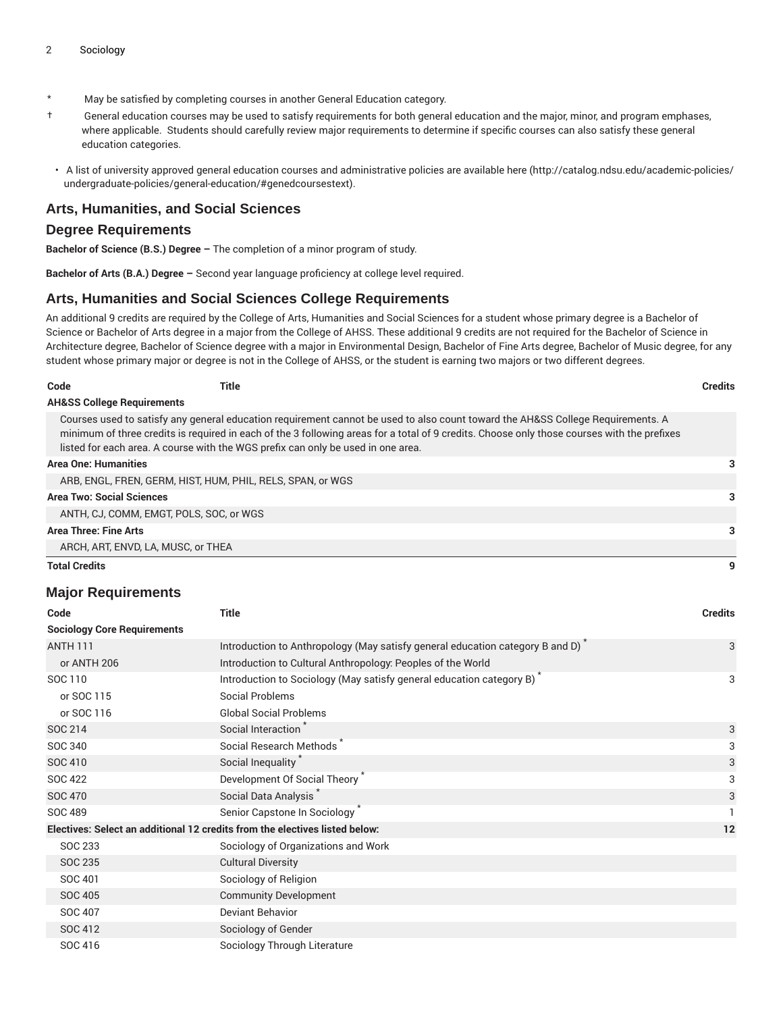- \* May be satisfied by completing courses in another General Education category.
- † General education courses may be used to satisfy requirements for both general education and the major, minor, and program emphases, where applicable. Students should carefully review major requirements to determine if specific courses can also satisfy these general education categories.
- A list of university approved general education courses and administrative policies are available [here](http://catalog.ndsu.edu/academic-policies/undergraduate-policies/general-education/#genedcoursestext) ([http://catalog.ndsu.edu/academic-policies/](http://catalog.ndsu.edu/academic-policies/undergraduate-policies/general-education/#genedcoursestext) [undergraduate-policies/general-education/#genedcoursestext](http://catalog.ndsu.edu/academic-policies/undergraduate-policies/general-education/#genedcoursestext)).

### **Arts, Humanities, and Social Sciences**

#### **Degree Requirements**

**Bachelor of Science (B.S.) Degree –** The completion of a minor program of study.

**Bachelor of Arts (B.A.) Degree –** Second year language proficiency at college level required.

### **Arts, Humanities and Social Sciences College Requirements**

An additional 9 credits are required by the College of Arts, Humanities and Social Sciences for a student whose primary degree is a Bachelor of Science or Bachelor of Arts degree in a major from the College of AHSS. These additional 9 credits are not required for the Bachelor of Science in Architecture degree, Bachelor of Science degree with a major in Environmental Design, Bachelor of Fine Arts degree, Bachelor of Music degree, for any student whose primary major or degree is not in the College of AHSS, or the student is earning two majors or two different degrees.

| Code                                  | Title | Credits |
|---------------------------------------|-------|---------|
| <b>AH&amp;SS College Requirements</b> |       |         |

Courses used to satisfy any general education requirement cannot be used to also count toward the AH&SS College Requirements. A minimum of three credits is required in each of the 3 following areas for a total of 9 credits. Choose only those courses with the prefixes listed for each area. A course with the WGS prefix can only be used in one area.

| <b>Area One: Humanities</b>                                |   |
|------------------------------------------------------------|---|
| ARB, ENGL, FREN, GERM, HIST, HUM, PHIL, RELS, SPAN, or WGS |   |
| <b>Area Two: Social Sciences</b>                           | 3 |
| ANTH, CJ, COMM, EMGT, POLS, SOC, or WGS                    |   |
| Area Three: Fine Arts                                      | 3 |
| ARCH, ART, ENVD, LA, MUSC, or THEA                         |   |
| <b>Total Credits</b>                                       | q |

### **Major Requirements**

| Code                                                                        | <b>Title</b>                                                                               | <b>Credits</b> |
|-----------------------------------------------------------------------------|--------------------------------------------------------------------------------------------|----------------|
| <b>Sociology Core Requirements</b>                                          |                                                                                            |                |
| <b>ANTH 111</b>                                                             | Introduction to Anthropology (May satisfy general education category B and D) <sup>*</sup> | 3              |
| or ANTH 206                                                                 | Introduction to Cultural Anthropology: Peoples of the World                                |                |
| SOC 110                                                                     | Introduction to Sociology (May satisfy general education category B)                       | 3              |
| or SOC 115                                                                  | <b>Social Problems</b>                                                                     |                |
| or SOC 116                                                                  | <b>Global Social Problems</b>                                                              |                |
| SOC 214                                                                     | Social Interaction                                                                         | 3              |
| SOC 340                                                                     | Social Research Methods <sup>®</sup>                                                       | 3              |
| SOC 410                                                                     | Social Inequality <sup>*</sup>                                                             | 3              |
| <b>SOC 422</b>                                                              | Development Of Social Theory                                                               | 3              |
| <b>SOC 470</b>                                                              | Social Data Analysis                                                                       | 3              |
| <b>SOC 489</b>                                                              | Senior Capstone In Sociology <sup>*</sup>                                                  |                |
| Electives: Select an additional 12 credits from the electives listed below: |                                                                                            | 12             |
| SOC 233                                                                     | Sociology of Organizations and Work                                                        |                |
| SOC 235                                                                     | <b>Cultural Diversity</b>                                                                  |                |
| SOC 401                                                                     | Sociology of Religion                                                                      |                |
| <b>SOC 405</b>                                                              | <b>Community Development</b>                                                               |                |
| SOC 407                                                                     | Deviant Behavior                                                                           |                |
| SOC 412                                                                     | Sociology of Gender                                                                        |                |
| SOC 416                                                                     | Sociology Through Literature                                                               |                |